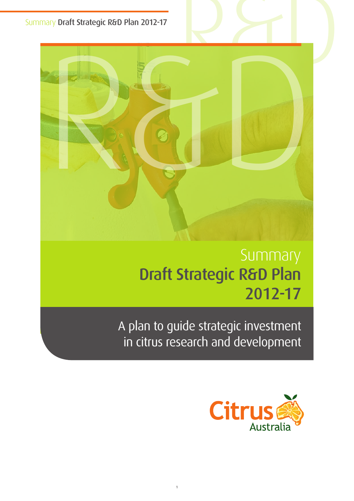

## Summary Draft Strategic R&D Plan 2012-17

A plan to guide strategic investment in citrus research and development

1

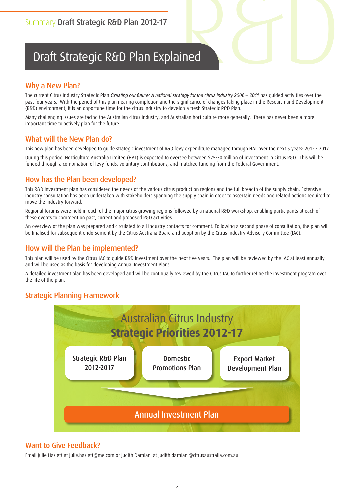# RAD Summary Draft Strategic R&D Plan 2012-17 **A plan to guide strategic in city of the strategic investment in city respectively.** Draft Strategic R&D Plan Explained

#### Why a New Plan?

The current Citrus Industry Strategic Plan *Creating our future: A national strategy for the citrus industry 2006 – 2011* has guided activities over the past four years. With the period of this plan nearing completion and the significance of changes taking place in the Research and Development (R&D) environment, it is an opportune time for the citrus industry to develop a fresh Strategic R&D Plan.

Many challenging issues are facing the Australian citrus industry; and Australian horticulture more generally. There has never been a more important time to actively plan for the future.

#### What will the New Plan do?

This new plan has been developed to guide strategic investment of R&D levy expenditure managed through HAL over the next 5 years: 2012 - 2017.

During this period, Horticulture Australia Limited (HAL) is expected to oversee between \$25-30 million of investment in Citrus R&D. This will be funded through a combination of levy funds, voluntary contributions, and matched funding from the Federal Government.

#### How has the Plan been developed?

This R&D investment plan has considered the needs of the various citrus production regions and the full breadth of the supply chain. Extensive industry consultation has been undertaken with stakeholders spanning the supply chain in order to ascertain needs and related actions required to move the industry forward.

Regional forums were held in each of the major citrus growing regions followed by a national R&D workshop, enabling participants at each of these events to comment on past, current and proposed R&D activities.

An overview of the plan was prepared and circulated to all industry contacts for comment. Following a second phase of consultation, the plan will be finalised for subsequent endorsement by the Citrus Australia Board and adoption by the Citrus Industry Advisory Committee (IAC).

#### How will the Plan be implemented?

This plan will be used by the Citrus IAC to guide R&D investment over the next five years. The plan will be reviewed by the IAC at least annually and will be used as the basis for developing Annual Investment Plans.

A detailed investment plan has been developed and will be continually reviewed by the Citrus IAC to further refine the investment program over the life of the plan.

#### Strategic Planning Framework



#### Want to Give Feedback?

Email Julie Haslett at julie.haslett@me.com or Judith Damiani at judith.damiani@citrusaustralia.com.au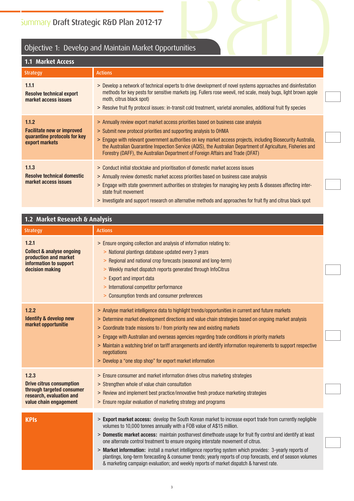|                                                                                              | Summary Draft Strategic R&D Plan 2012-17                                                                                                                                                                                                                                                                                                                                                                                                                                 |  |
|----------------------------------------------------------------------------------------------|--------------------------------------------------------------------------------------------------------------------------------------------------------------------------------------------------------------------------------------------------------------------------------------------------------------------------------------------------------------------------------------------------------------------------------------------------------------------------|--|
|                                                                                              | Objective 1: Develop and Maintain Market Opportunities                                                                                                                                                                                                                                                                                                                                                                                                                   |  |
| 1.1 Market Access                                                                            |                                                                                                                                                                                                                                                                                                                                                                                                                                                                          |  |
| <b>Strategy</b>                                                                              | <b>Actions</b>                                                                                                                                                                                                                                                                                                                                                                                                                                                           |  |
| 1.1.1<br><b>Resolve technical export</b><br>market access issues                             | > Develop a network of technical experts to drive development of novel systems approaches and disinfestation<br>methods for key pests for sensitive markets (eg. Fullers rose weevil, red scale, mealy bugs, light brown apple<br>moth, citrus black spot)<br>> Resolve fruit fly protocol issues: in-transit cold treatment, varietal anomalies, additional fruit fly species                                                                                           |  |
| 1.1.2<br><b>Facilitate new or improved</b><br>quarantine protocols for key<br>export markets | > Annually review export market access priorities based on business case analysis<br>> Submit new protocol priorities and supporting analysis to OHMA<br>> Engage with relevant government authorities on key market access projects, including Biosecurity Australia,<br>the Australian Quarantine Inspection Service (AQIS), the Australian Department of Agriculture, Fisheries and<br>Forestry (DAFF), the Australian Department of Foreign Affairs and Trade (DFAT) |  |
| 1.1.3<br><b>Resolve technical domestic</b><br>market access issues                           | > Conduct initial stocktake and prioritisation of domestic market access issues<br>> Annually review domestic market access priorities based on business case analysis<br>> Engage with state government authorities on strategies for managing key pests & diseases affecting inter-<br>state fruit movement<br>> Investigate and support research on alternative methods and approaches for fruit fly and citrus black spot                                            |  |

### Objective 1: Develop and Maintain Market Opportunities

| 1.2 Market Research & Analysis                                                                                              |                                                                                                                                                                                                                                                                                                                                                                                                                                                                                                                                                                                                                                                                                                            |  |  |  |  |
|-----------------------------------------------------------------------------------------------------------------------------|------------------------------------------------------------------------------------------------------------------------------------------------------------------------------------------------------------------------------------------------------------------------------------------------------------------------------------------------------------------------------------------------------------------------------------------------------------------------------------------------------------------------------------------------------------------------------------------------------------------------------------------------------------------------------------------------------------|--|--|--|--|
| <b>Strategy</b>                                                                                                             | <b>Actions</b>                                                                                                                                                                                                                                                                                                                                                                                                                                                                                                                                                                                                                                                                                             |  |  |  |  |
| 1.2.1<br><b>Collect &amp; analyse ongoing</b><br>production and market<br>information to support<br>decision making         | > Ensure ongoing collection and analysis of information relating to:<br>> National plantings database updated every 3 years<br>> Regional and national crop forecasts (seasonal and long-term)<br>> Weekly market dispatch reports generated through InfoCitrus<br>> Export and import data<br>> International competitor performance<br>> Consumption trends and consumer preferences                                                                                                                                                                                                                                                                                                                     |  |  |  |  |
| 1.2.2<br><b>Identify &amp; develop new</b><br>market opportunitie                                                           | > Analyse market intelligence data to highlight trends/opportunities in current and future markets<br>> Determine market development directions and value chain strategies based on ongoing market analysis<br>> Coordinate trade missions to / from priority new and existing markets<br>> Engage with Australian and overseas agencies regarding trade conditions in priority markets<br>> Maintain a watching brief on tariff arrangements and identify information requirements to support respective<br>negotiations<br>> Develop a "one stop shop" for export market information                                                                                                                     |  |  |  |  |
| 1.2.3<br><b>Drive citrus consumption</b><br>through targeted consumer<br>research, evaluation and<br>value chain engagement | > Ensure consumer and market information drives citrus marketing strategies<br>> Strengthen whole of value chain consultation<br>> Review and implement best practice/innovative fresh produce marketing strategies<br>> Ensure regular evaluation of marketing strategy and programs                                                                                                                                                                                                                                                                                                                                                                                                                      |  |  |  |  |
| <b>KPIs</b>                                                                                                                 | > Export market access: develop the South Korean market to increase export trade from currently negligible<br>volumes to 10,000 tonnes annually with a FOB value of A\$15 million.<br>> Domestic market access: maintain postharvest dimethoate usage for fruit fly control and identify at least<br>one alternate control treatment to ensure ongoing interstate movement of citrus.<br>> Market information: install a market intelligence reporting system which provides: 3-yearly reports of<br>plantings, long-term forecasting & consumer trends; yearly reports of crop forecasts, end of season volumes<br>& marketing campaign evaluation; and weekly reports of market dispatch & harvest rate. |  |  |  |  |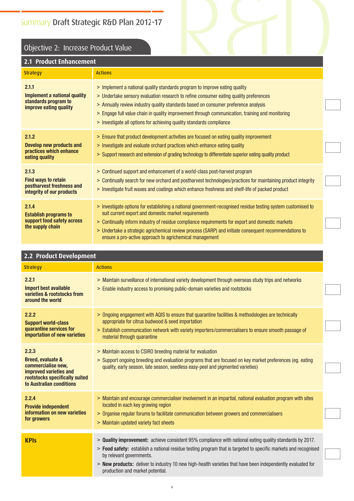#### Objective 2: Increase Product Value

| Objective 2: Increase Product Value                                                           | Summary Draft Strategic R&D Plan 2012-17                                                                                                                                                                                                                                                                                                                                                                                                     |  |
|-----------------------------------------------------------------------------------------------|----------------------------------------------------------------------------------------------------------------------------------------------------------------------------------------------------------------------------------------------------------------------------------------------------------------------------------------------------------------------------------------------------------------------------------------------|--|
| 2.1 Product Enhancement                                                                       |                                                                                                                                                                                                                                                                                                                                                                                                                                              |  |
| <b>Strategy</b>                                                                               | <b>Actions</b>                                                                                                                                                                                                                                                                                                                                                                                                                               |  |
| 2.1.1<br>Implement a national quality<br>standards program to<br>improve eating quality       | > Implement a national quality standards program to improve eating quality<br>> Undertake sensory evaluation research to refine consumer eating quality preferences<br>> Annually review industry quality standards based on consumer preference analysis<br>> Engage full value chain in quality improvement through communication, training and monitoring<br>> Investigate all options for achieving quality standards compliance         |  |
| 2.1.2<br><b>Develop new products and</b><br>practices which enhance<br>eating quality         | > Ensure that product development activities are focused on eating quality improvement<br>> Investigate and evaluate orchard practices which enhance eating quality<br>> Support research and extension of grading technology to differentiate superior eating quality product                                                                                                                                                               |  |
| 2.1.3<br><b>Find ways to retain</b><br>postharvest freshness and<br>integrity of our products | > Continued support and enhancement of a world-class post-harvest program<br>> Continually search for new orchard and postharvest technologies/practices for maintaining product integrity<br>> Investigate fruit waxes and coatings which enhance freshness and shelf-life of packed product                                                                                                                                                |  |
| 2.1.4<br><b>Establish programs to</b><br>support food safety across<br>the supply chain       | > Investigate options for establishing a national government-recognised residue testing system customised to<br>suit current export and domestic market requirements<br>> Continually inform industry of residue compliance requirements for export and domestic markets<br>> Undertake a strategic agrichemical review process (SARP) and initiate consequent recommendations to<br>ensure a pro-active approach to agrichemical management |  |

| 2.2 Product Development                                                                                                                             |                                                                                                                                                                                                                                                                                                                                                                                                            |  |  |  |
|-----------------------------------------------------------------------------------------------------------------------------------------------------|------------------------------------------------------------------------------------------------------------------------------------------------------------------------------------------------------------------------------------------------------------------------------------------------------------------------------------------------------------------------------------------------------------|--|--|--|
| <b>Strategy</b>                                                                                                                                     | <b>Actions</b>                                                                                                                                                                                                                                                                                                                                                                                             |  |  |  |
| 2.2.1<br><b>Import best available</b><br>varieties & rootstocks from<br>around the world                                                            | > Maintain surveillance of international variety development through overseas study trips and networks<br>> Enable industry access to promising public-domain varieties and rootstocks                                                                                                                                                                                                                     |  |  |  |
| 2.2.2<br><b>Support world-class</b><br>quarantine services for<br>importation of new varieties                                                      | > Ongoing engagement with AQIS to ensure that quarantine facilities & methodologies are technically<br>appropriate for citrus budwood & seed importation<br>> Establish communication network with variety importers/commercialisers to ensure smooth passage of<br>material through quarantine                                                                                                            |  |  |  |
| 2.2.3<br><b>Breed, evaluate &amp;</b><br>commercialise new,<br>improved varieties and<br>rootstocks specifically suited<br>to Australian conditions | > Maintain access to CSIRO breeding material for evaluation<br>> Support ongoing breeding and evaluation programs that are focused on key market preferences (eg. eating<br>quality, early season, late season, seedless easy-peel and pigmented varieties)                                                                                                                                                |  |  |  |
| 2.2.4<br><b>Provide independent</b><br>information on new varieties<br>for growers                                                                  | > Maintain and encourage commercialiser involvement in an impartial, national evaluation program with sites<br>located in each key growing region<br>> Organise regular forums to facilitate communication between growers and commercialisers<br>> Maintain updated variety fact sheets                                                                                                                   |  |  |  |
| <b>KPIs</b>                                                                                                                                         | > Quality improvement: achieve consistent 95% compliance with national eating quality standards by 2017.<br>> Food safety: establish a national residue testing program that is targeted to specific markets and recognised<br>by relevant governments.<br>> New products: deliver to industry 10 new high-health varieties that have been independently evaluated for<br>production and market potential. |  |  |  |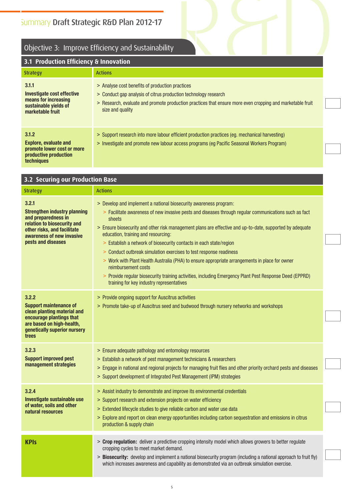## Objective 3: Improve Efficiency and Sustainability

|                                                                                                            | Summary Draft Strategic R&D Plan 2012-17<br>Objective 3: Improve Efficiency and Sustainability                                                                                                                                                      |  |
|------------------------------------------------------------------------------------------------------------|-----------------------------------------------------------------------------------------------------------------------------------------------------------------------------------------------------------------------------------------------------|--|
| 3.1 Production Efficiency & Innovation                                                                     |                                                                                                                                                                                                                                                     |  |
| <b>Strategy</b>                                                                                            | <b>Actions</b>                                                                                                                                                                                                                                      |  |
| 3.1.1<br>Investigate cost effective<br>means for increasing<br>sustainable yields of<br>marketable fruit   | > Analyse cost benefits of production practices<br>> Conduct gap analysis of citrus production technology research<br>> Research, evaluate and promote production practices that ensure more even cropping and marketable fruit<br>size and quality |  |
| 3.1.2<br><b>Explore, evaluate and</b><br>promote lower cost or more<br>productive production<br>techniques | > Support research into more labour efficient production practices (eg. mechanical harvesting)<br>> Investigate and promote new labour access programs (eg Pacific Seasonal Workers Program)                                                        |  |

| 3.2 Securing our Production Base                                                                                                                                                     |                                                                                                                                                                                                                                                                                                                                                                                                                                                                                                                                                                                                                                                                                                                                                                      |  |  |  |
|--------------------------------------------------------------------------------------------------------------------------------------------------------------------------------------|----------------------------------------------------------------------------------------------------------------------------------------------------------------------------------------------------------------------------------------------------------------------------------------------------------------------------------------------------------------------------------------------------------------------------------------------------------------------------------------------------------------------------------------------------------------------------------------------------------------------------------------------------------------------------------------------------------------------------------------------------------------------|--|--|--|
| <b>Strategy</b>                                                                                                                                                                      | <b>Actions</b>                                                                                                                                                                                                                                                                                                                                                                                                                                                                                                                                                                                                                                                                                                                                                       |  |  |  |
| 3.2.1<br><b>Strengthen industry planning</b><br>and preparedness in<br>relation to biosecurity and<br>other risks, and facilitate<br>awareness of new invasive<br>pests and diseases | > Develop and implement a national biosecurity awareness program:<br>> Facilitate awareness of new invasive pests and diseases through regular communications such as fact<br>sheets<br>> Ensure biosecurity and other risk management plans are effective and up-to-date, supported by adequate<br>education, training and resourcing:<br>> Establish a network of biosecurity contacts in each state/region<br>> Conduct outbreak simulation exercises to test response readiness<br>> Work with Plant Health Australia (PHA) to ensure appropriate arrangements in place for owner<br>reimbursement costs<br>> Provide regular biosecurity training activities, including Emergency Plant Pest Response Deed (EPPRD)<br>training for key industry representatives |  |  |  |
| 3.2.2<br><b>Support maintenance of</b><br>clean planting material and<br>encourage plantings that<br>are based on high-health,<br>genetically superior nursery<br>trees              | > Provide ongoing support for Auscitrus activities<br>> Promote take-up of Auscitrus seed and budwood through nursery networks and workshops                                                                                                                                                                                                                                                                                                                                                                                                                                                                                                                                                                                                                         |  |  |  |
| 3.2.3<br><b>Support improved pest</b><br>management strategies                                                                                                                       | > Ensure adequate pathology and entomology resources<br>> Establish a network of pest management technicians & researchers<br>> Engage in national and regional projects for managing fruit flies and other priority orchard pests and diseases<br>> Support development of Integrated Pest Management (IPM) strategies                                                                                                                                                                                                                                                                                                                                                                                                                                              |  |  |  |
| 3.2.4<br>Investigate sustainable use<br>of water, soils and other<br>natural resources                                                                                               | > Assist industry to demonstrate and improve its environmental credentials<br>> Support research and extension projects on water efficiency<br>> Extended lifecycle studies to give reliable carbon and water use data<br>> Explore and report on clean energy opportunities including carbon sequestration and emissions in citrus<br>production & supply chain                                                                                                                                                                                                                                                                                                                                                                                                     |  |  |  |
| <b>KPIs</b>                                                                                                                                                                          | > Crop regulation: deliver a predictive cropping intensity model which allows growers to better regulate<br>cropping cycles to meet market demand.<br>> Biosecurity: develop and implement a national biosecurity program (including a national approach to fruit fly)<br>which increases awareness and capability as demonstrated via an outbreak simulation exercise.                                                                                                                                                                                                                                                                                                                                                                                              |  |  |  |